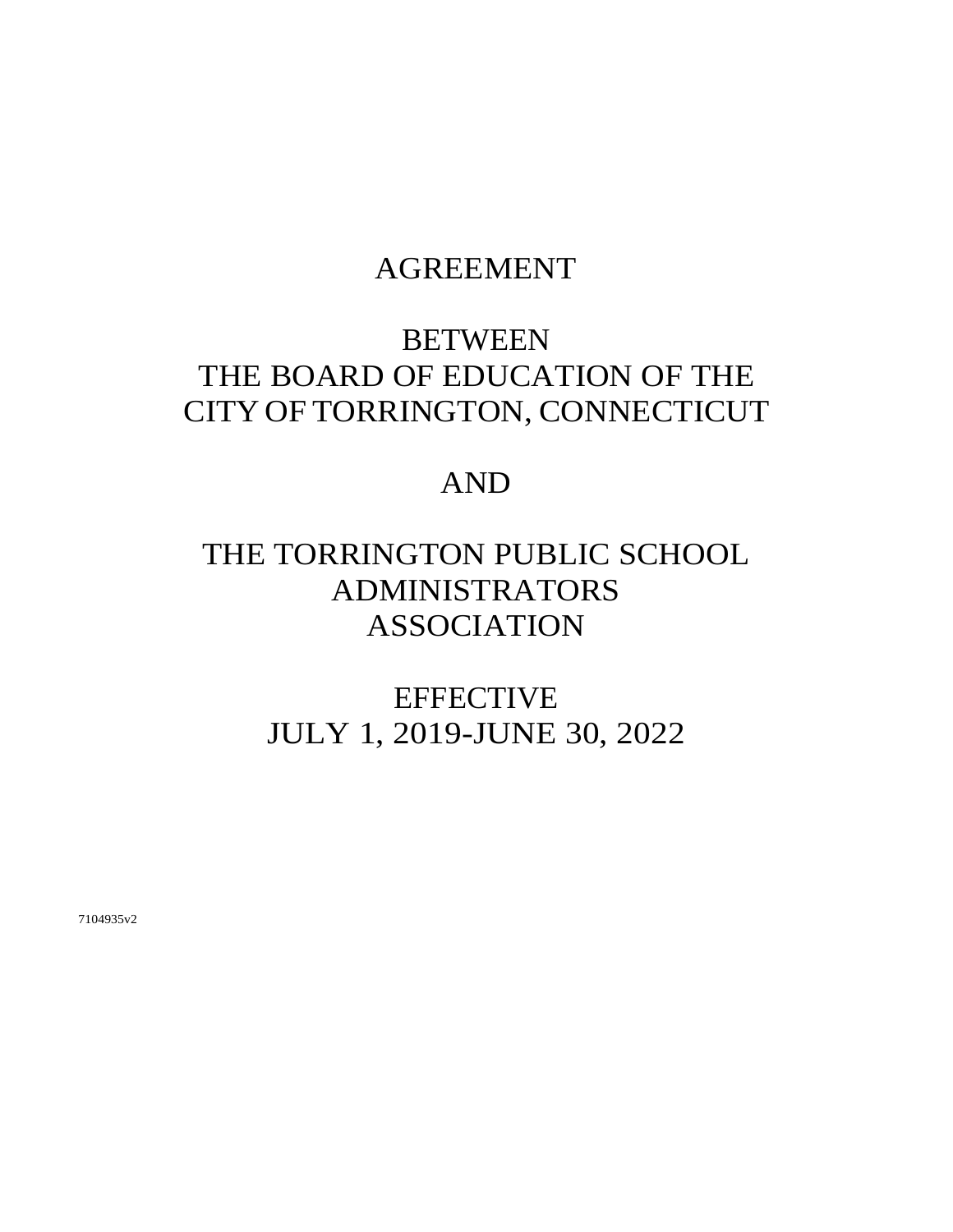## AGREEMENT

# BETWEEN THE BOARD OF EDUCATION OF THE CITY OF TORRINGTON, CONNECTICUT

## AND

# THE TORRINGTON PUBLIC SCHOOL ADMINISTRATORS ASSOCIATION

**EFFECTIVE** JULY 1, 2019-JUNE 30, 2022

7104935v2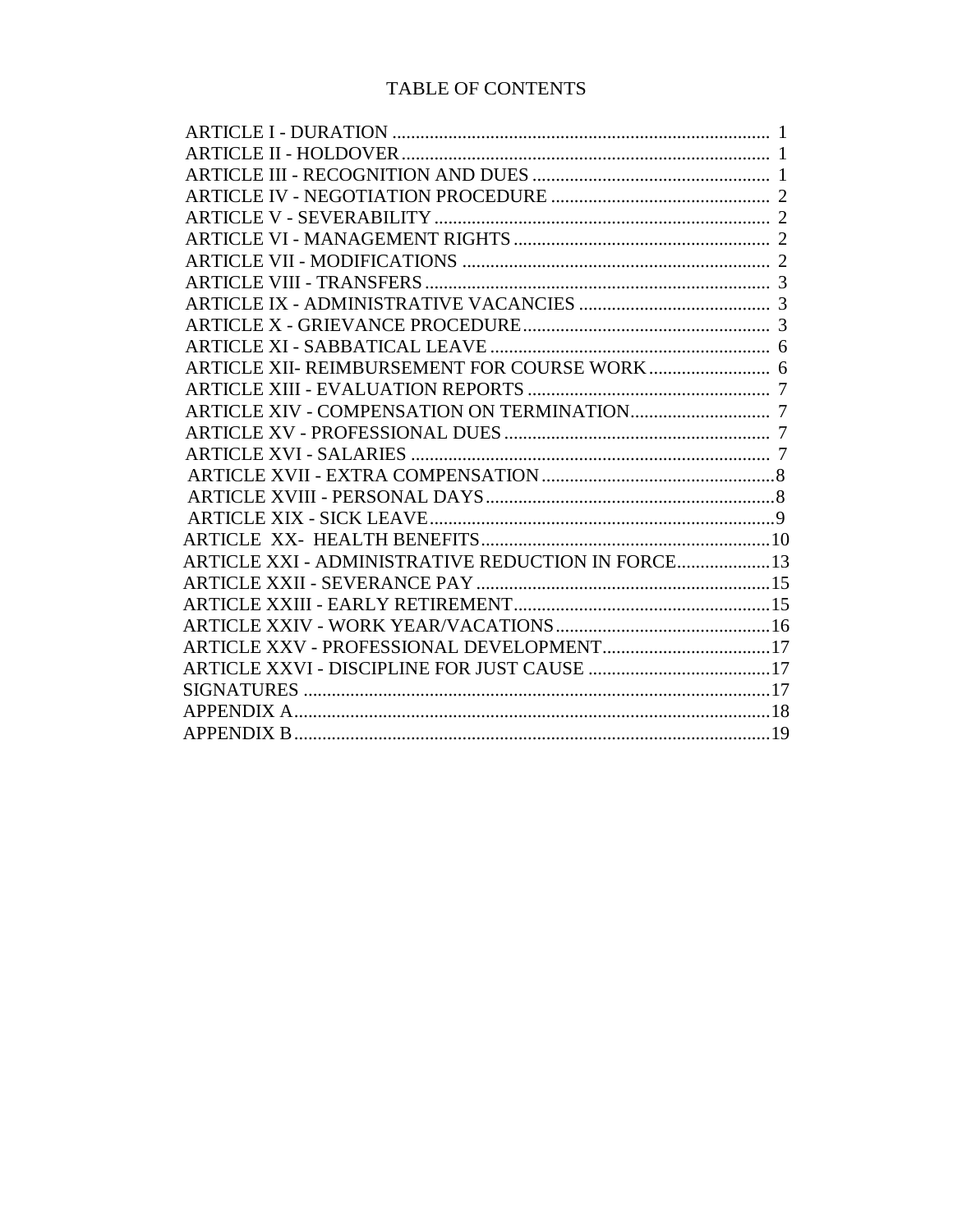## TABLE OF CONTENTS

| ARTICLE XXI - ADMINISTRATIVE REDUCTION IN FORCE 13 |  |
|----------------------------------------------------|--|
|                                                    |  |
|                                                    |  |
|                                                    |  |
|                                                    |  |
|                                                    |  |
|                                                    |  |
|                                                    |  |
|                                                    |  |
|                                                    |  |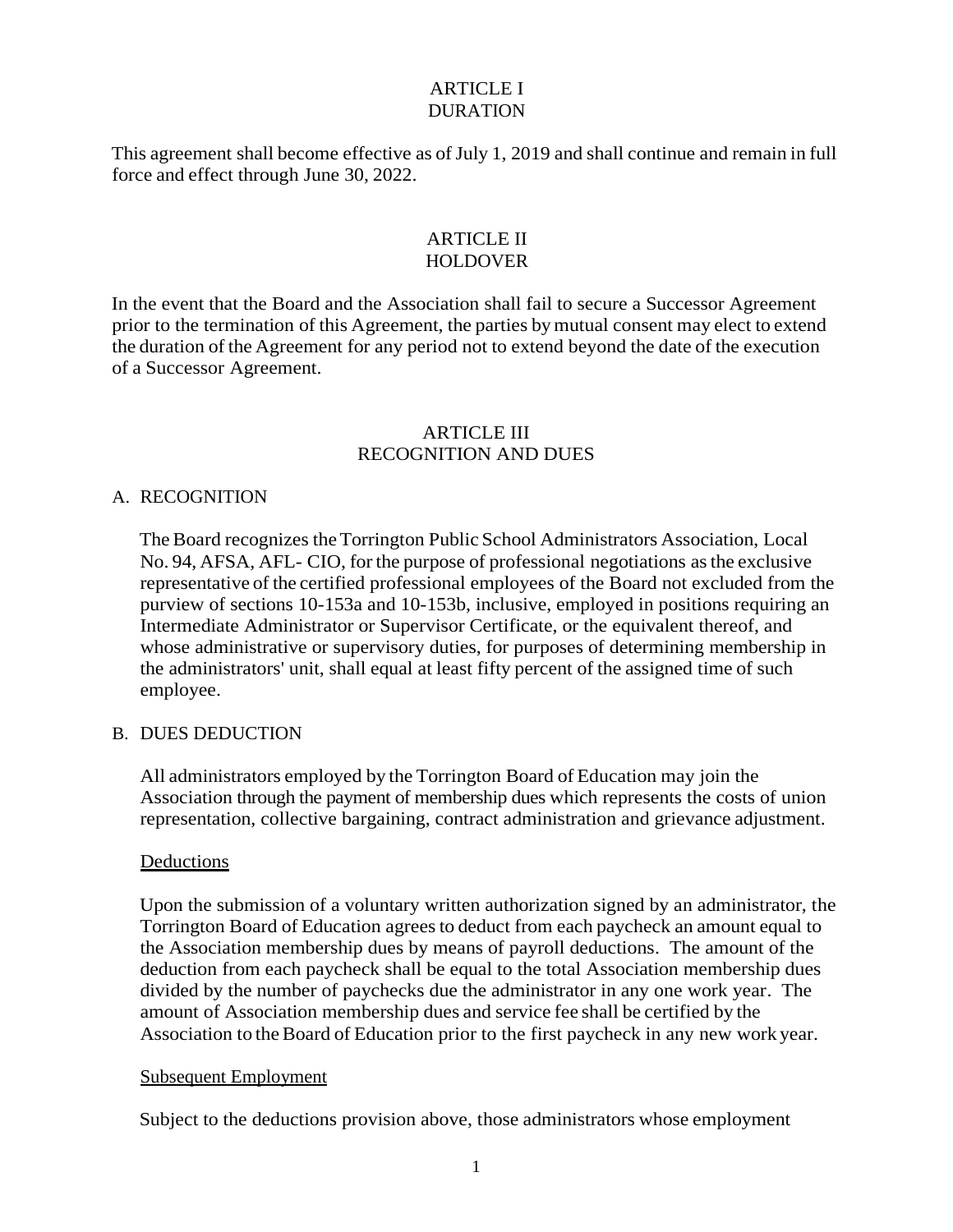#### ARTICLE I DURATION

This agreement shall become effective as of July 1, 2019 and shall continue and remain in full force and effect through June 30, 2022.

#### ARTICLE II HOLDOVER

In the event that the Board and the Association shall fail to secure a Successor Agreement prior to the termination of this Agreement, the parties bymutual consent may elect to extend the duration of the Agreement for any period not to extend beyond the date of the execution of a Successor Agreement.

#### ARTICLE III RECOGNITION AND DUES

#### A. RECOGNITION

The Board recognizes the Torrington Public School Administrators Association, Local No. 94, AFSA, AFL- CIO, for the purpose of professional negotiations asthe exclusive representative of the certified professional employees of the Board not excluded from the purview of sections 10-153a and 10-153b, inclusive, employed in positions requiring an Intermediate Administrator or Supervisor Certificate, or the equivalent thereof, and whose administrative or supervisory duties, for purposes of determining membership in the administrators' unit, shall equal at least fifty percent of the assigned time of such employee.

#### B. DUES DEDUCTION

All administrators employed by the Torrington Board of Education may join the Association through the payment of membership dues which represents the costs of union representation, collective bargaining, contract administration and grievance adjustment.

#### Deductions

Upon the submission of a voluntary written authorization signed by an administrator, the Torrington Board of Education agreesto deduct from each paycheck an amount equal to the Association membership dues by means of payroll deductions. The amount of the deduction from each paycheck shall be equal to the total Association membership dues divided by the number of paychecks due the administrator in any one work year. The amount of Association membership dues and service fee shall be certified by the Association to the Board of Education prior to the first paycheck in any new work year.

#### Subsequent Employment

Subject to the deductions provision above, those administrators whose employment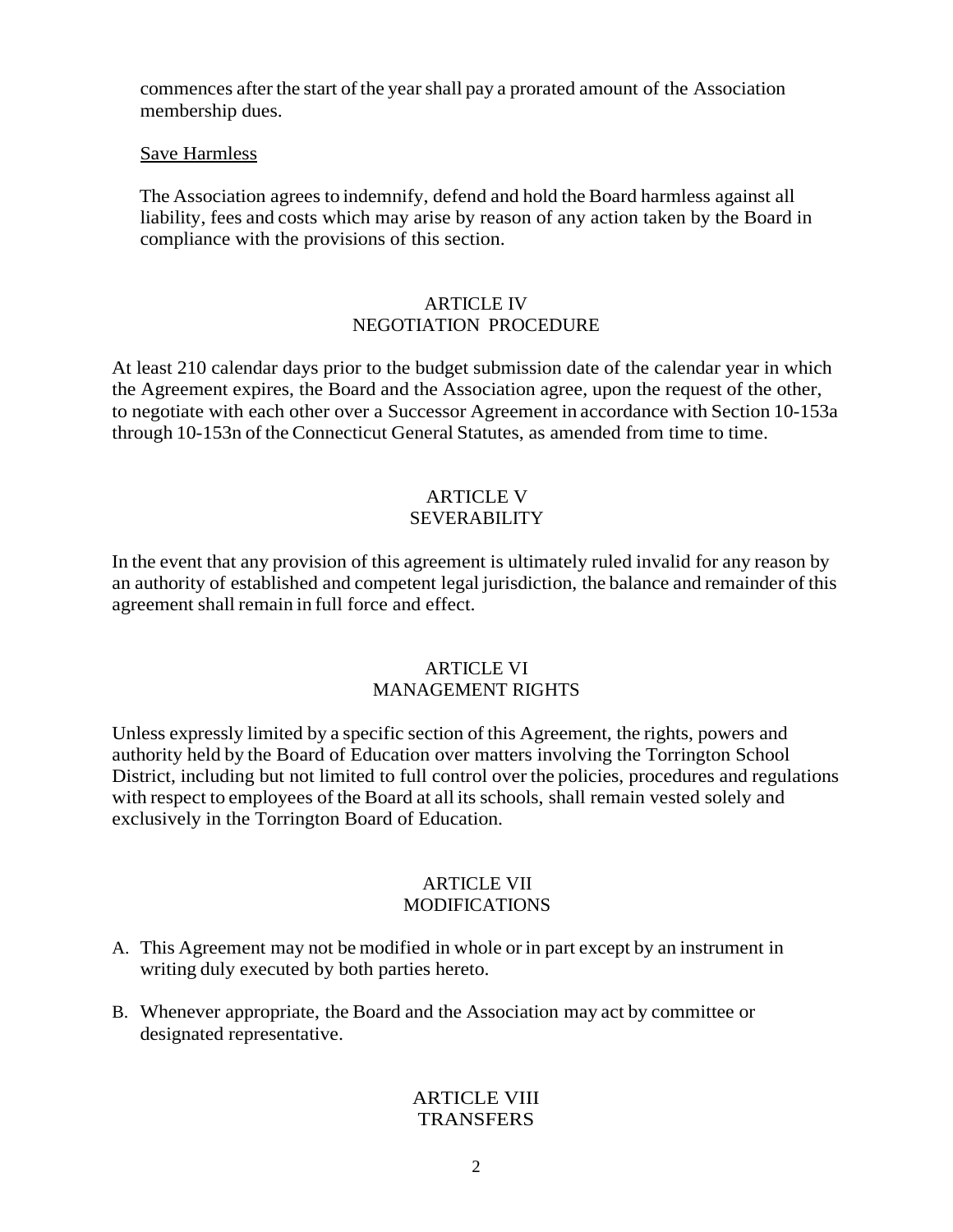commences after the start of the year shall pay a prorated amount of the Association membership dues.

#### Save Harmless

The Association agrees to indemnify, defend and hold the Board harmless against all liability, fees and costs which may arise by reason of any action taken by the Board in compliance with the provisions of this section.

#### ARTICLE IV NEGOTIATION PROCEDURE

At least 210 calendar days prior to the budget submission date of the calendar year in which the Agreement expires, the Board and the Association agree, upon the request of the other, to negotiate with each other over a Successor Agreement in accordance with Section 10-153a through 10-153n of the Connecticut General Statutes, as amended from time to time.

### ARTICLE V SEVERABILITY

In the event that any provision of this agreement is ultimately ruled invalid for any reason by an authority of established and competent legal jurisdiction, the balance and remainder of this agreement shall remain in full force and effect.

#### ARTICLE VI MANAGEMENT RIGHTS

Unless expressly limited by a specific section of this Agreement, the rights, powers and authority held by the Board of Education over matters involving the Torrington School District, including but not limited to full control over the policies, procedures and regulations with respect to employees of the Board at all its schools, shall remain vested solely and exclusively in the Torrington Board of Education.

#### ARTICLE VII MODIFICATIONS

- A. This Agreement may not be modified in whole or in part except by an instrument in writing duly executed by both parties hereto.
- B. Whenever appropriate, the Board and the Association may act by committee or designated representative.

#### ARTICLE VIII **TRANSFERS**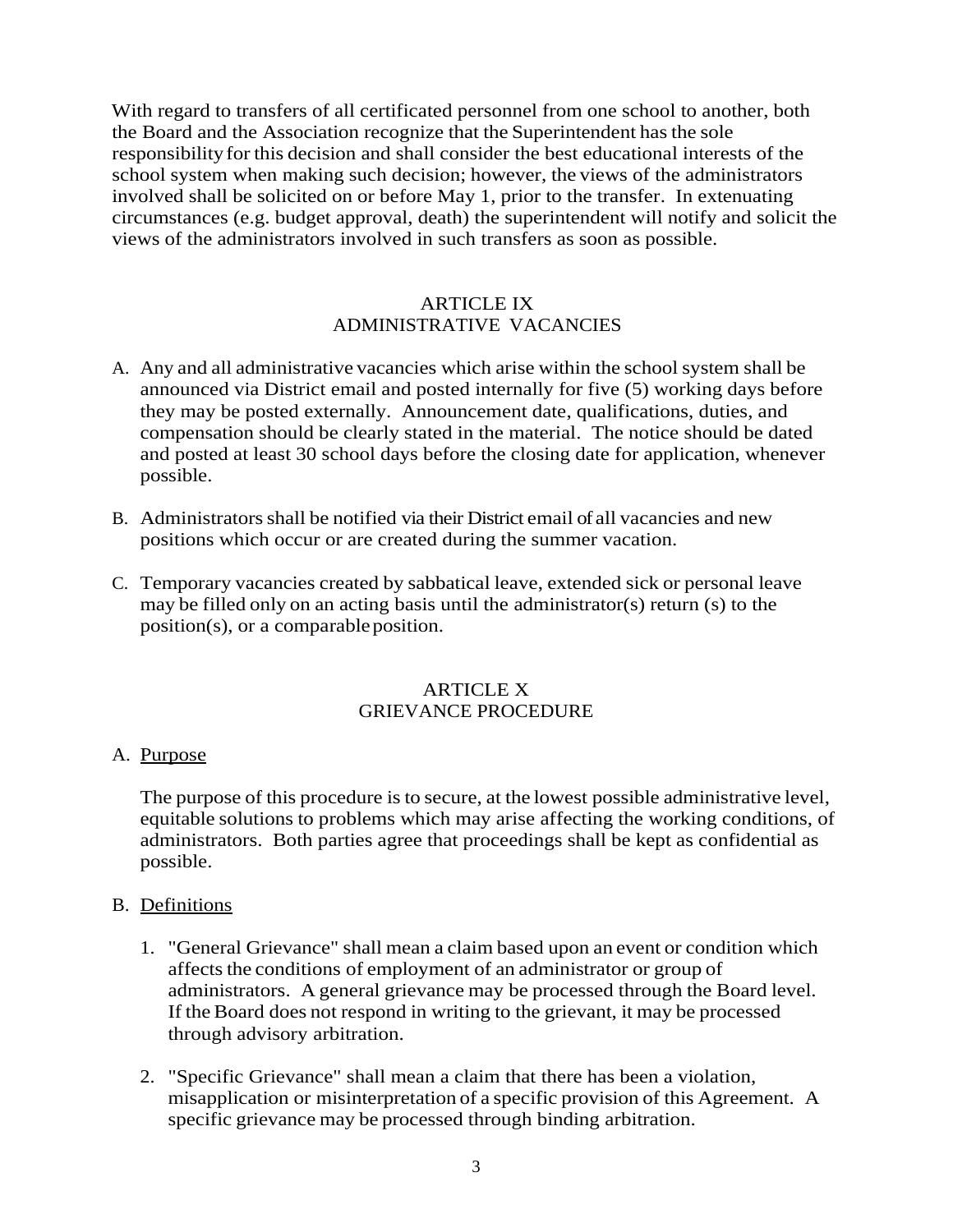With regard to transfers of all certificated personnel from one school to another, both the Board and the Association recognize that the Superintendent has the sole responsibility for this decision and shall consider the best educational interests of the school system when making such decision; however, the views of the administrators involved shall be solicited on or before May 1, prior to the transfer. In extenuating circumstances (e.g. budget approval, death) the superintendent will notify and solicit the views of the administrators involved in such transfers as soon as possible.

### ARTICLE IX ADMINISTRATIVE VACANCIES

- A. Any and all administrative vacancies which arise within the school system shall be announced via District email and posted internally for five (5) working days before they may be posted externally. Announcement date, qualifications, duties, and compensation should be clearly stated in the material. The notice should be dated and posted at least 30 school days before the closing date for application, whenever possible.
- B. Administratorsshall be notified via their District email of all vacancies and new positions which occur or are created during the summer vacation.
- C. Temporary vacancies created by sabbatical leave, extended sick or personal leave may be filled only on an acting basis until the administrator(s) return (s) to the  $position(s)$ , or a comparable position.

#### ARTICLE X GRIEVANCE PROCEDURE

#### A. Purpose

The purpose of this procedure is to secure, at the lowest possible administrative level, equitable solutions to problems which may arise affecting the working conditions, of administrators. Both parties agree that proceedings shall be kept as confidential as possible.

#### B. Definitions

- 1. "General Grievance" shall mean a claim based upon an event or condition which affects the conditions of employment of an administrator or group of administrators. A general grievance may be processed through the Board level. If the Board does not respond in writing to the grievant, it may be processed through advisory arbitration.
- 2. "Specific Grievance" shall mean a claim that there has been a violation, misapplication or misinterpretation of a specific provision of this Agreement. A specific grievance may be processed through binding arbitration.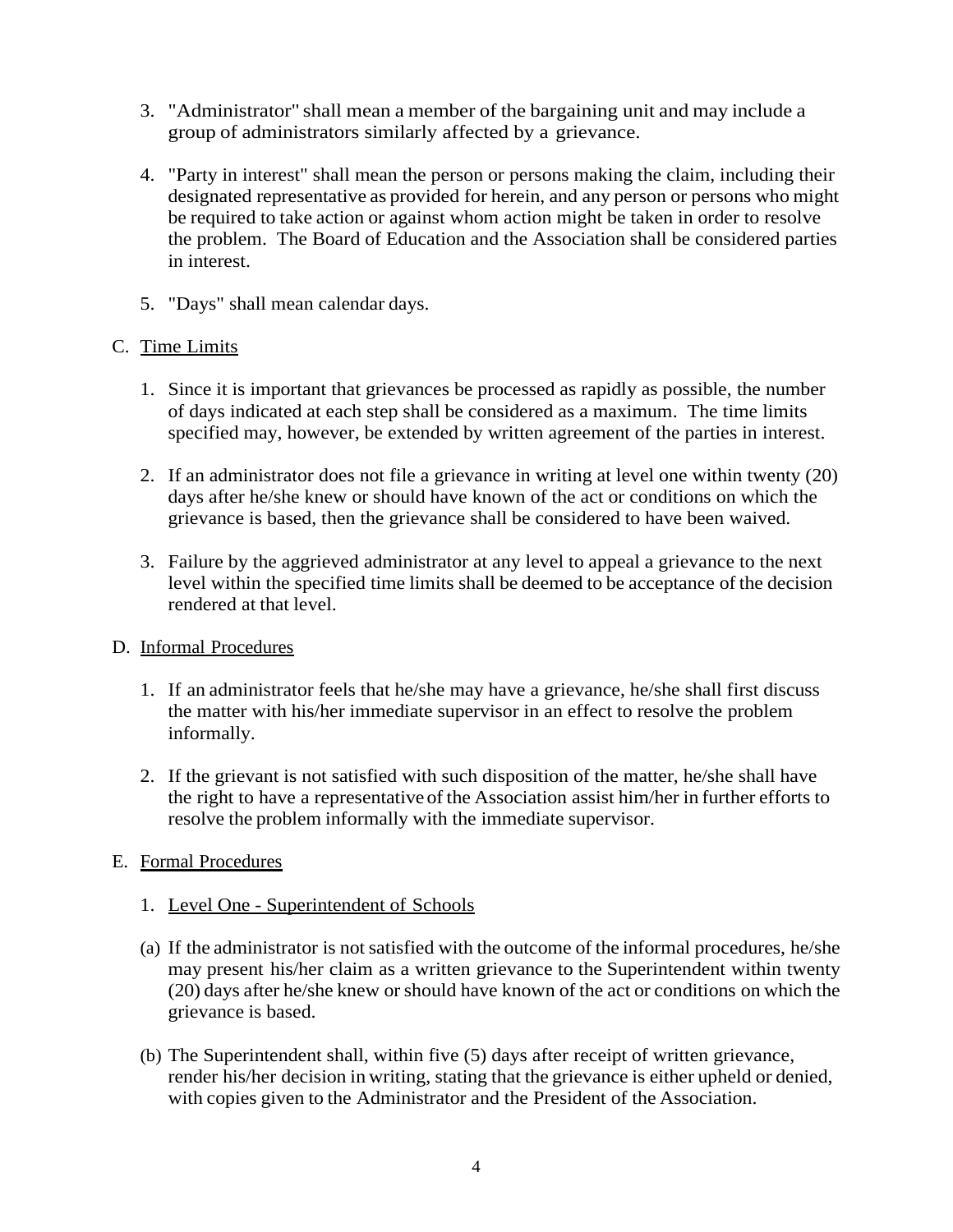- 3. "Administrator" shall mean a member of the bargaining unit and may include a group of administrators similarly affected by a grievance.
- 4. "Party in interest" shall mean the person or persons making the claim, including their designated representative as provided for herein, and any person or persons who might be required to take action or against whom action might be taken in order to resolve the problem. The Board of Education and the Association shall be considered parties in interest.
- 5. "Days" shall mean calendar days.

## C. Time Limits

- 1. Since it is important that grievances be processed as rapidly as possible, the number of days indicated at each step shall be considered as a maximum. The time limits specified may, however, be extended by written agreement of the parties in interest.
- 2. If an administrator does not file a grievance in writing at level one within twenty (20) days after he/she knew or should have known of the act or conditions on which the grievance is based, then the grievance shall be considered to have been waived.
- 3. Failure by the aggrieved administrator at any level to appeal a grievance to the next level within the specified time limits shall be deemed to be acceptance of the decision rendered at that level.

#### D. Informal Procedures

- 1. If an administrator feels that he/she may have a grievance, he/she shall first discuss the matter with his/her immediate supervisor in an effect to resolve the problem informally.
- 2. If the grievant is not satisfied with such disposition of the matter, he/she shall have the right to have a representative of the Association assist him/her in further efforts to resolve the problem informally with the immediate supervisor.

## E. Formal Procedures

## 1. Level One - Superintendent of Schools

- (a) If the administrator is not satisfied with the outcome of the informal procedures, he/she may present his/her claim as a written grievance to the Superintendent within twenty (20) days after he/she knew orshould have known of the act or conditions on which the grievance is based.
- (b) The Superintendent shall, within five (5) days after receipt of written grievance, render his/her decision in writing, stating that the grievance is either upheld or denied, with copies given to the Administrator and the President of the Association.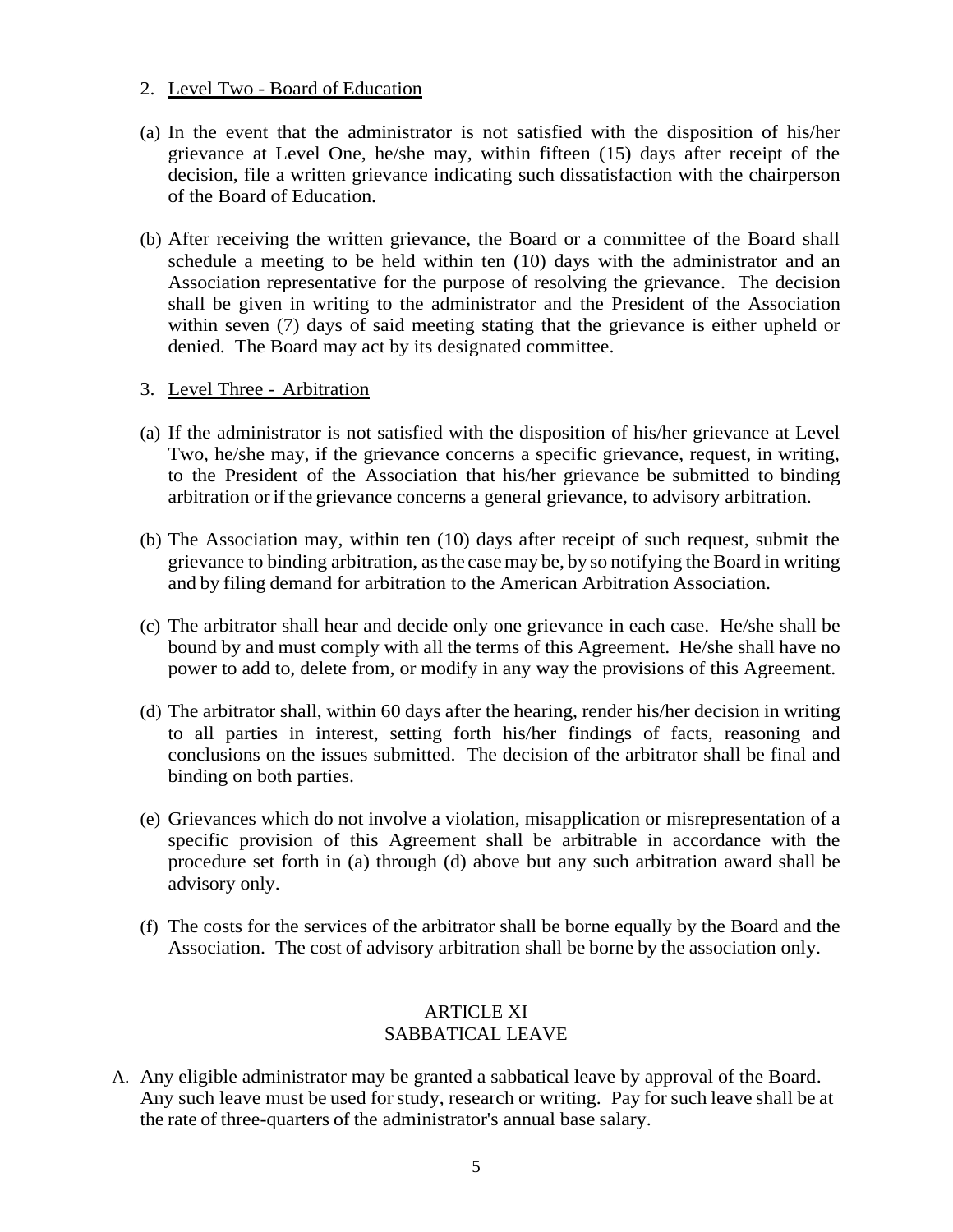#### 2. Level Two - Board of Education

- (a) In the event that the administrator is not satisfied with the disposition of his/her grievance at Level One, he/she may, within fifteen (15) days after receipt of the decision, file a written grievance indicating such dissatisfaction with the chairperson of the Board of Education.
- (b) After receiving the written grievance, the Board or a committee of the Board shall schedule a meeting to be held within ten (10) days with the administrator and an Association representative for the purpose of resolving the grievance. The decision shall be given in writing to the administrator and the President of the Association within seven (7) days of said meeting stating that the grievance is either upheld or denied. The Board may act by its designated committee.

#### 3. Level Three - Arbitration

- (a) If the administrator is not satisfied with the disposition of his/her grievance at Level Two, he/she may, if the grievance concerns a specific grievance, request, in writing, to the President of the Association that his/her grievance be submitted to binding arbitration orif the grievance concerns a general grievance, to advisory arbitration.
- (b) The Association may, within ten (10) days after receipt of such request, submit the grievance to binding arbitration, asthe casemay be, by so notifying the Board in writing and by filing demand for arbitration to the American Arbitration Association.
- (c) The arbitrator shall hear and decide only one grievance in each case. He/she shall be bound by and must comply with all the terms of this Agreement. He/she shall have no power to add to, delete from, or modify in any way the provisions of this Agreement.
- (d) The arbitrator shall, within 60 days after the hearing, render his/her decision in writing to all parties in interest, setting forth his/her findings of facts, reasoning and conclusions on the issues submitted. The decision of the arbitrator shall be final and binding on both parties.
- (e) Grievances which do not involve a violation, misapplication or misrepresentation of a specific provision of this Agreement shall be arbitrable in accordance with the procedure set forth in (a) through (d) above but any such arbitration award shall be advisory only.
- (f) The costs for the services of the arbitrator shall be borne equally by the Board and the Association. The cost of advisory arbitration shall be borne by the association only.

#### ARTICLE XI SABBATICAL LEAVE

A. Any eligible administrator may be granted a sabbatical leave by approval of the Board. Any such leave must be used forstudy, research or writing. Pay for such leave shall be at the rate of three-quarters of the administrator's annual base salary.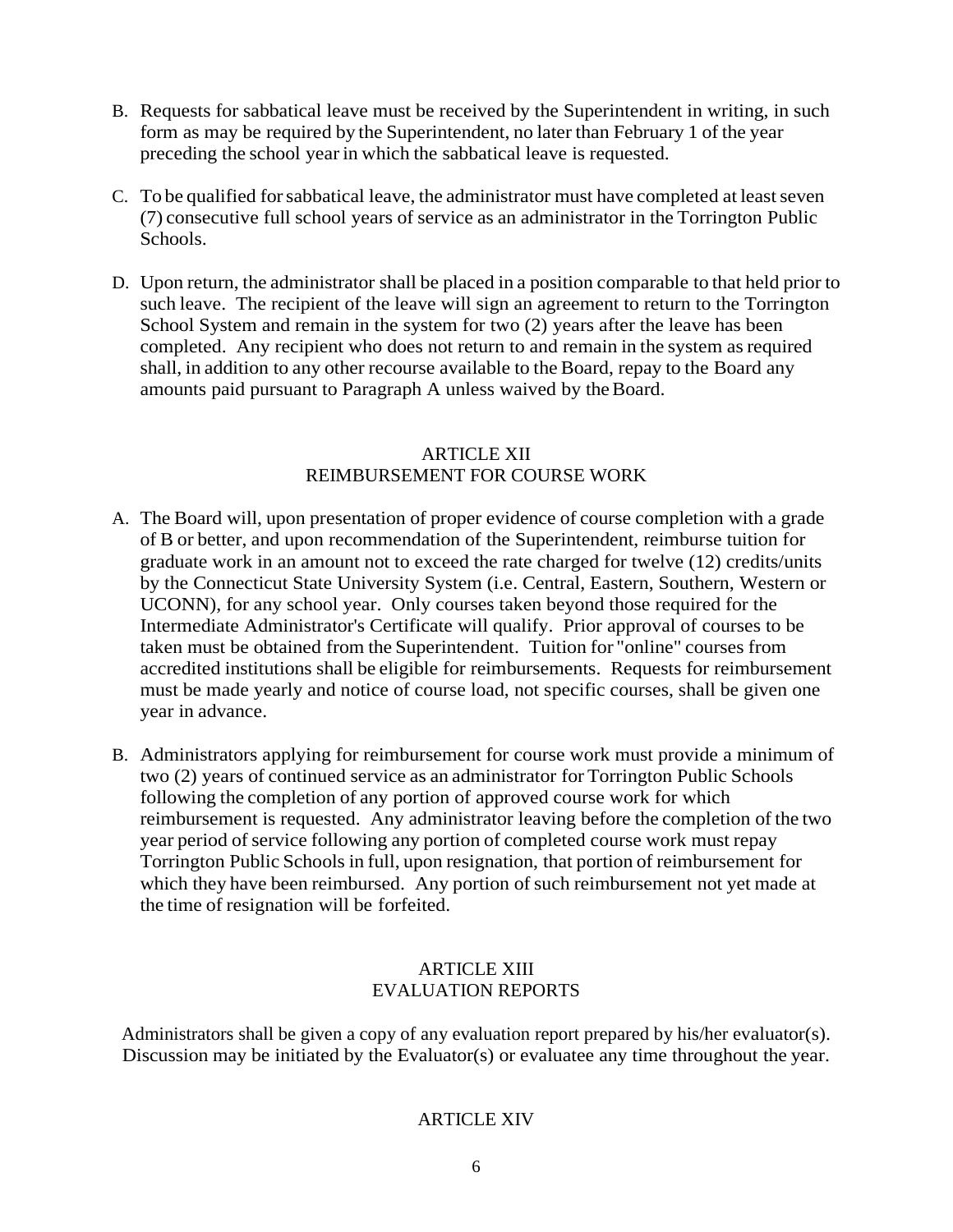- B. Requests for sabbatical leave must be received by the Superintendent in writing, in such form as may be required by the Superintendent, no later than February 1 of the year preceding the school year in which the sabbatical leave is requested.
- C. To be qualified for sabbatical leave, the administrator must have completed at least seven (7) consecutive full school years of service as an administrator in the Torrington Public Schools.
- D. Upon return, the administrator shall be placed in a position comparable to that held prior to such leave. The recipient of the leave will sign an agreement to return to the Torrington School System and remain in the system for two  $(2)$  years after the leave has been completed. Any recipient who does not return to and remain in the system as required shall, in addition to any other recourse available to the Board, repay to the Board any amounts paid pursuant to Paragraph A unless waived by the Board.

## ARTICLE XII REIMBURSEMENT FOR COURSE WORK

- A. The Board will, upon presentation of proper evidence of course completion with a grade of B or better, and upon recommendation of the Superintendent, reimburse tuition for graduate work in an amount not to exceed the rate charged for twelve (12) credits/units by the Connecticut State University System (i.e. Central, Eastern, Southern, Western or UCONN), for any school year. Only courses taken beyond those required for the Intermediate Administrator's Certificate will qualify. Prior approval of courses to be taken must be obtained from the Superintendent. Tuition for "online" courses from accredited institutions shall be eligible for reimbursements. Requests for reimbursement must be made yearly and notice of course load, not specific courses, shall be given one year in advance.
- B. Administrators applying for reimbursement for course work must provide a minimum of two (2) years of continued service as an administrator for Torrington Public Schools following the completion of any portion of approved course work for which reimbursement is requested. Any administrator leaving before the completion of the two year period of service following any portion of completed course work must repay Torrington Public Schools in full, upon resignation, that portion of reimbursement for which they have been reimbursed. Any portion of such reimbursement not yet made at the time of resignation will be forfeited.

## ARTICLE XIII EVALUATION REPORTS

Administrators shall be given a copy of any evaluation report prepared by his/her evaluator(s). Discussion may be initiated by the Evaluator(s) or evaluatee any time throughout the year.

## ARTICLE XIV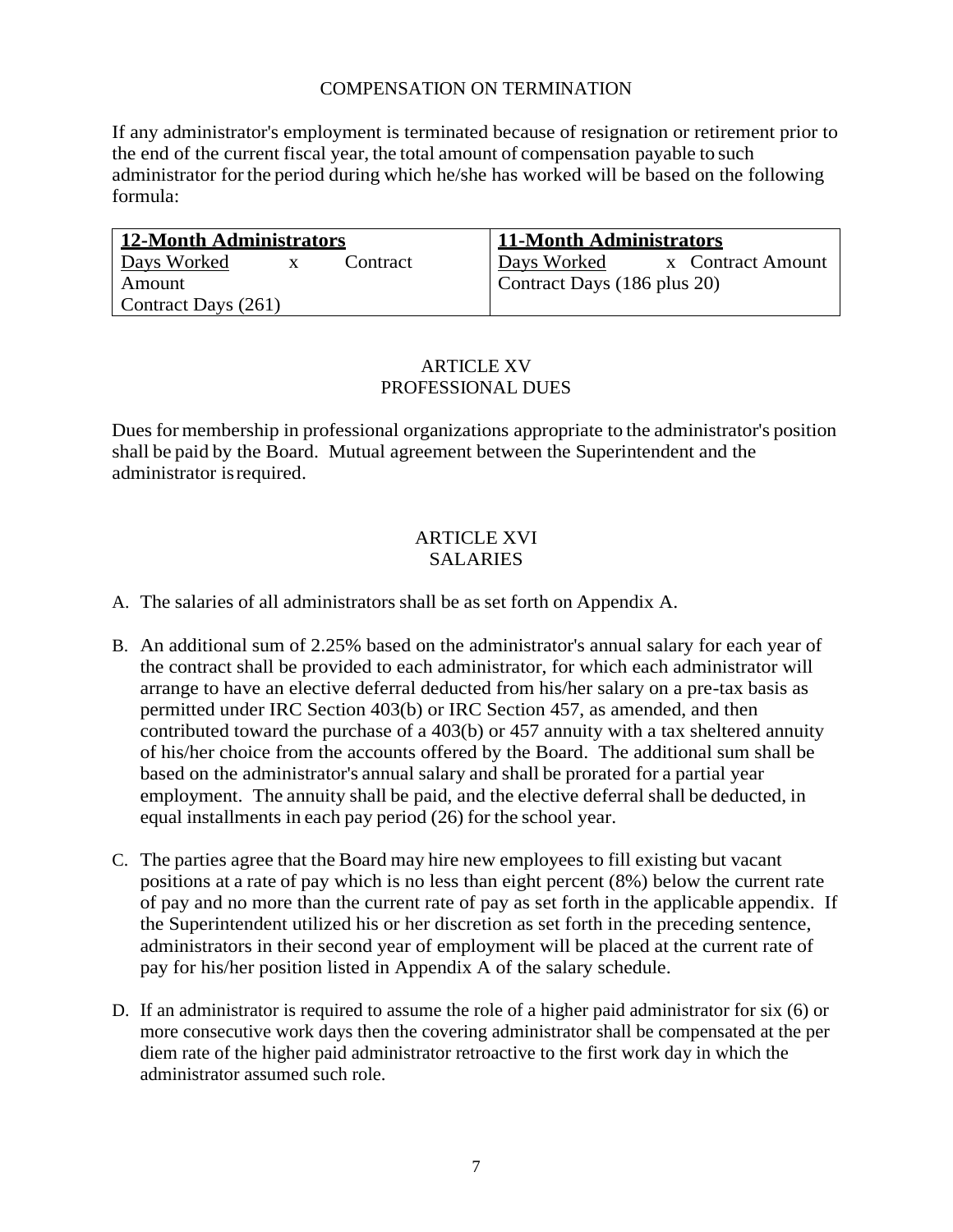### COMPENSATION ON TERMINATION

If any administrator's employment is terminated because of resignation or retirement prior to the end of the current fiscal year, the total amount of compensation payable to such administrator for the period during which he/she has worked will be based on the following formula:

| 12-Month Administrators | 11-Month Administrators          |  |  |
|-------------------------|----------------------------------|--|--|
| Days Worked<br>Contract | Days Worked<br>x Contract Amount |  |  |
| Amount                  | Contract Days (186 plus 20)      |  |  |
| Contract Days (261)     |                                  |  |  |

#### ARTICLE XV PROFESSIONAL DUES

Dues for membership in professional organizations appropriate to the administrator's position shall be paid by the Board. Mutual agreement between the Superintendent and the administrator isrequired.

#### ARTICLE XVI SALARIES

- A. The salaries of all administrators shall be as set forth on Appendix A.
- B. An additional sum of 2.25% based on the administrator's annual salary for each year of the contract shall be provided to each administrator, for which each administrator will arrange to have an elective deferral deducted from his/her salary on a pre-tax basis as permitted under IRC Section 403(b) or IRC Section 457, as amended, and then contributed toward the purchase of a 403(b) or 457 annuity with a tax sheltered annuity of his/her choice from the accounts offered by the Board. The additional sum shall be based on the administrator's annual salary and shall be prorated for a partial year employment. The annuity shall be paid, and the elective deferral shall be deducted, in equal installments in each pay period (26) for the school year.
- C. The parties agree that the Board may hire new employees to fill existing but vacant positions at a rate of pay which is no less than eight percent (8%) below the current rate of pay and no more than the current rate of pay as set forth in the applicable appendix. If the Superintendent utilized his or her discretion as set forth in the preceding sentence, administrators in their second year of employment will be placed at the current rate of pay for his/her position listed in Appendix A of the salary schedule.
- D. If an administrator is required to assume the role of a higher paid administrator for six (6) or more consecutive work days then the covering administrator shall be compensated at the per diem rate of the higher paid administrator retroactive to the first work day in which the administrator assumed such role.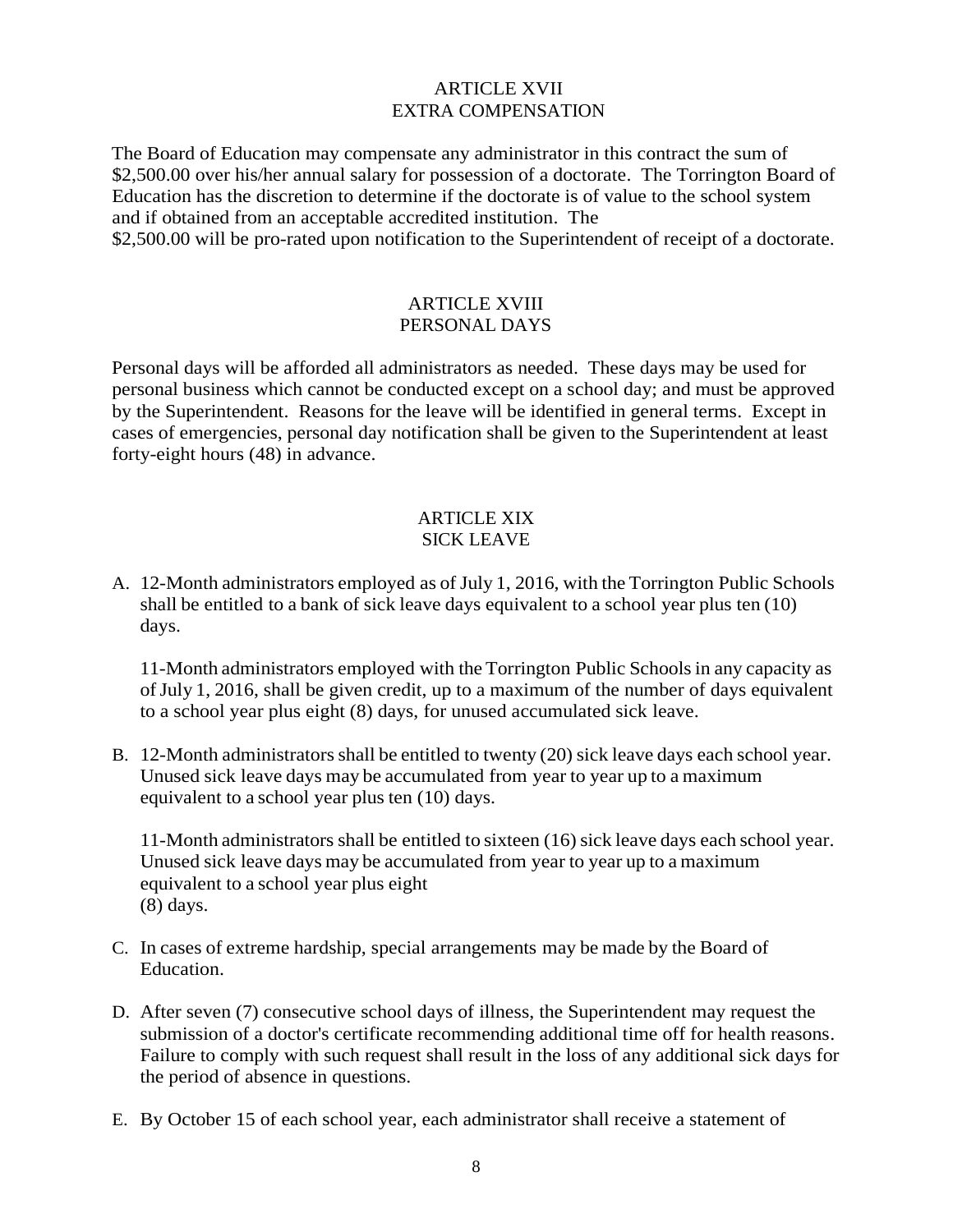#### ARTICLE XVII EXTRA COMPENSATION

The Board of Education may compensate any administrator in this contract the sum of \$2,500.00 over his/her annual salary for possession of a doctorate. The Torrington Board of Education has the discretion to determine if the doctorate is of value to the school system and if obtained from an acceptable accredited institution. The \$2,500.00 will be pro-rated upon notification to the Superintendent of receipt of a doctorate.

#### ARTICLE XVIII PERSONAL DAYS

Personal days will be afforded all administrators as needed. These days may be used for personal business which cannot be conducted except on a school day; and must be approved by the Superintendent. Reasons for the leave will be identified in general terms. Except in cases of emergencies, personal day notification shall be given to the Superintendent at least forty-eight hours (48) in advance.

#### ARTICLE XIX SICK LEAVE

A. 12-Month administrators employed as of July 1, 2016, with the Torrington Public Schools shall be entitled to a bank of sick leave days equivalent to a school year plus ten (10) days.

11-Month administrators employed with the Torrington Public Schoolsin any capacity as ofJuly 1, 2016, shall be given credit, up to a maximum of the number of days equivalent to a school year plus eight (8) days, for unused accumulated sick leave.

B. 12-Month administratorsshall be entitled to twenty (20) sick leave days each school year. Unused sick leave days may be accumulated from year to year up to a maximum equivalent to a school year plus ten (10) days.

11-Month administrators shall be entitled to sixteen (16) sick leave days each school year. Unused sick leave days may be accumulated from year to year up to a maximum equivalent to a school year plus eight (8) days.

- C. In cases of extreme hardship, special arrangements may be made by the Board of Education.
- D. After seven (7) consecutive school days of illness, the Superintendent may request the submission of a doctor's certificate recommending additional time off for health reasons. Failure to comply with such request shall result in the loss of any additional sick days for the period of absence in questions.
- E. By October 15 of each school year, each administrator shall receive a statement of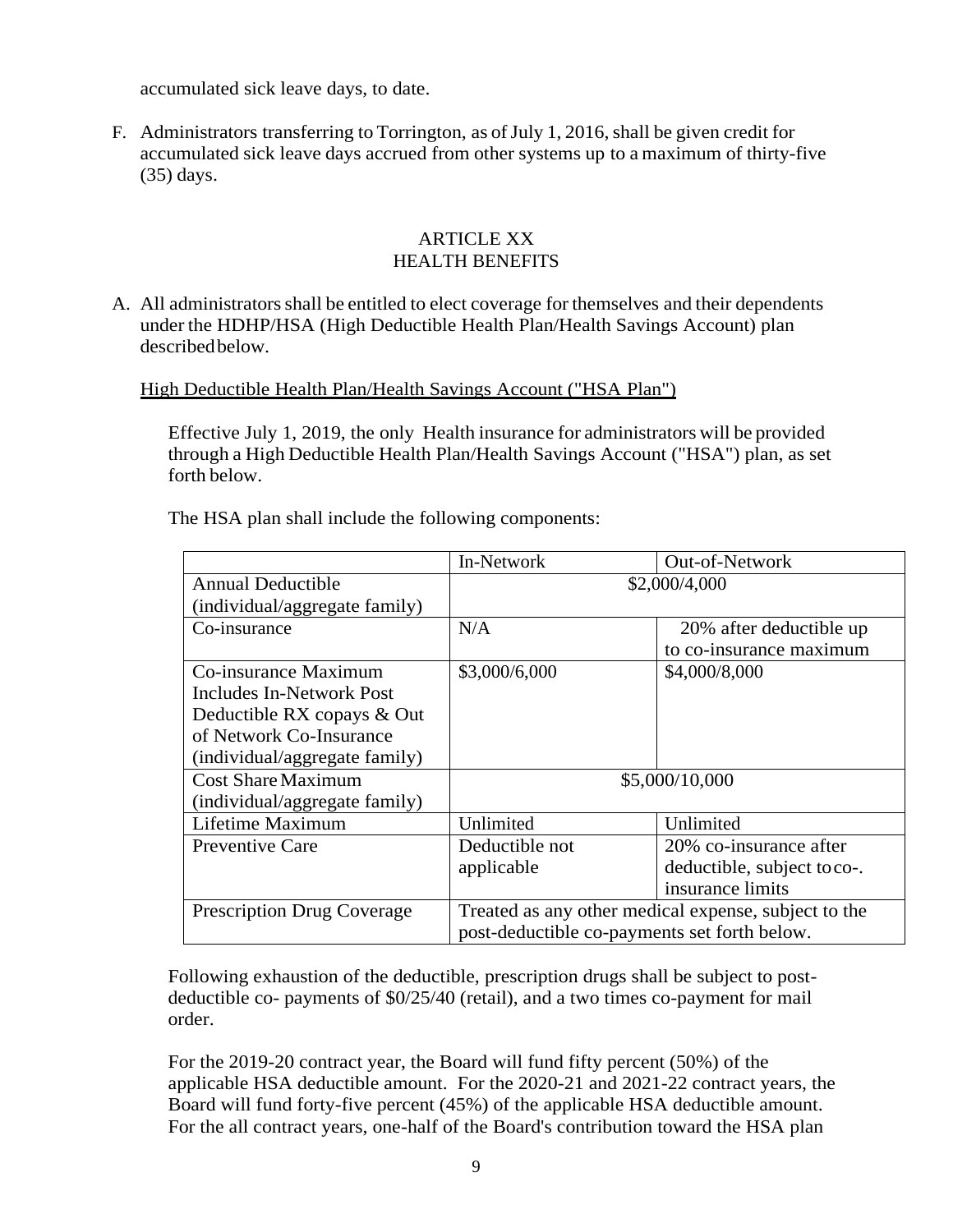accumulated sick leave days, to date.

F. Administrators transferring to Torrington, as of July 1, 2016, shall be given credit for accumulated sick leave days accrued from other systems up to a maximum of thirty-five (35) days.

#### ARTICLE XX HEALTH BENEFITS

A. All administratorsshall be entitled to elect coverage for themselves and their dependents under the HDHP/HSA (High Deductible Health Plan/Health Savings Account) plan describedbelow.

#### High Deductible Health Plan/Health Savings Account ("HSA Plan")

Effective July 1, 2019, the only Health insurance for administrators will be provided through a High Deductible Health Plan/Health Savings Account ("HSA") plan, as set forth below.

The HSA plan shall include the following components:

|                                   | In-Network<br>Out-of-Network                         |                             |  |  |
|-----------------------------------|------------------------------------------------------|-----------------------------|--|--|
| <b>Annual Deductible</b>          | \$2,000/4,000                                        |                             |  |  |
| (individual/aggregate family)     |                                                      |                             |  |  |
| Co-insurance                      | N/A<br>20% after deductible up                       |                             |  |  |
|                                   |                                                      | to co-insurance maximum     |  |  |
| Co-insurance Maximum              | \$3,000/6,000                                        | \$4,000/8,000               |  |  |
| Includes In-Network Post          |                                                      |                             |  |  |
| Deductible RX copays & Out        |                                                      |                             |  |  |
| of Network Co-Insurance           |                                                      |                             |  |  |
| (individual/aggregate family)     |                                                      |                             |  |  |
| <b>Cost Share Maximum</b>         | \$5,000/10,000                                       |                             |  |  |
| (individual/aggregate family)     |                                                      |                             |  |  |
| Lifetime Maximum                  | Unlimited                                            | Unlimited                   |  |  |
| <b>Preventive Care</b>            | Deductible not                                       | 20% co-insurance after      |  |  |
|                                   | applicable                                           | deductible, subject to co-. |  |  |
|                                   |                                                      | insurance limits            |  |  |
| <b>Prescription Drug Coverage</b> | Treated as any other medical expense, subject to the |                             |  |  |
|                                   | post-deductible co-payments set forth below.         |                             |  |  |

Following exhaustion of the deductible, prescription drugs shall be subject to postdeductible co- payments of \$0/25/40 (retail), and a two times co-payment for mail order.

For the 2019-20 contract year, the Board will fund fifty percent (50%) of the applicable HSA deductible amount. For the 2020-21 and 2021-22 contract years, the Board will fund forty-five percent (45%) of the applicable HSA deductible amount. For the all contract years, one-half of the Board's contribution toward the HSA plan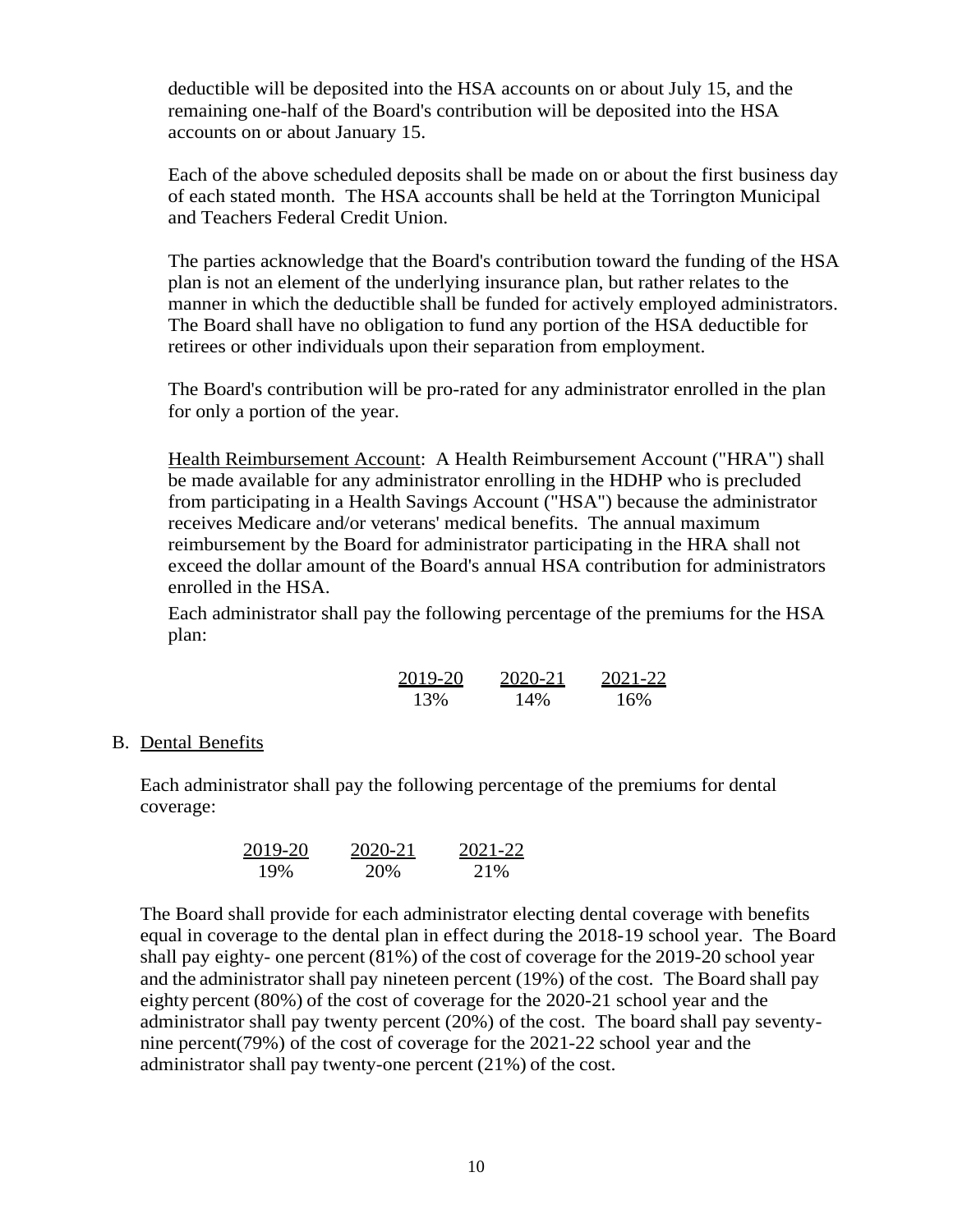deductible will be deposited into the HSA accounts on or about July 15, and the remaining one-half of the Board's contribution will be deposited into the HSA accounts on or about January 15.

Each of the above scheduled deposits shall be made on or about the first business day of each stated month. The HSA accounts shall be held at the Torrington Municipal and Teachers Federal Credit Union.

The parties acknowledge that the Board's contribution toward the funding of the HSA plan is not an element of the underlying insurance plan, but rather relates to the manner in which the deductible shall be funded for actively employed administrators. The Board shall have no obligation to fund any portion of the HSA deductible for retirees or other individuals upon their separation from employment.

The Board's contribution will be pro-rated for any administrator enrolled in the plan for only a portion of the year.

Health Reimbursement Account: A Health Reimbursement Account ("HRA") shall be made available for any administrator enrolling in the HDHP who is precluded from participating in a Health Savings Account ("HSA") because the administrator receives Medicare and/or veterans' medical benefits. The annual maximum reimbursement by the Board for administrator participating in the HRA shall not exceed the dollar amount of the Board's annual HSA contribution for administrators enrolled in the HSA.

Each administrator shall pay the following percentage of the premiums for the HSA plan:

| 2019-20 | 2020-21 | 2021-22 |
|---------|---------|---------|
| 13%     | 14%     | 16%     |

#### B. Dental Benefits

Each administrator shall pay the following percentage of the premiums for dental coverage:

$$
\frac{2019-20}{19\%} \qquad \frac{2020-21}{20\%} \qquad \frac{2021-22}{21\%}
$$

The Board shall provide for each administrator electing dental coverage with benefits equal in coverage to the dental plan in effect during the 2018-19 school year. The Board shall pay eighty- one percent (81%) of the cost of coverage for the 2019-20 school year and the administrator shall pay nineteen percent (19%) of the cost. The Board shall pay eighty percent (80%) of the cost of coverage for the 2020-21 school year and the administrator shall pay twenty percent (20%) of the cost. The board shall pay seventynine percent(79%) of the cost of coverage for the 2021-22 school year and the administrator shall pay twenty-one percent (21%) of the cost.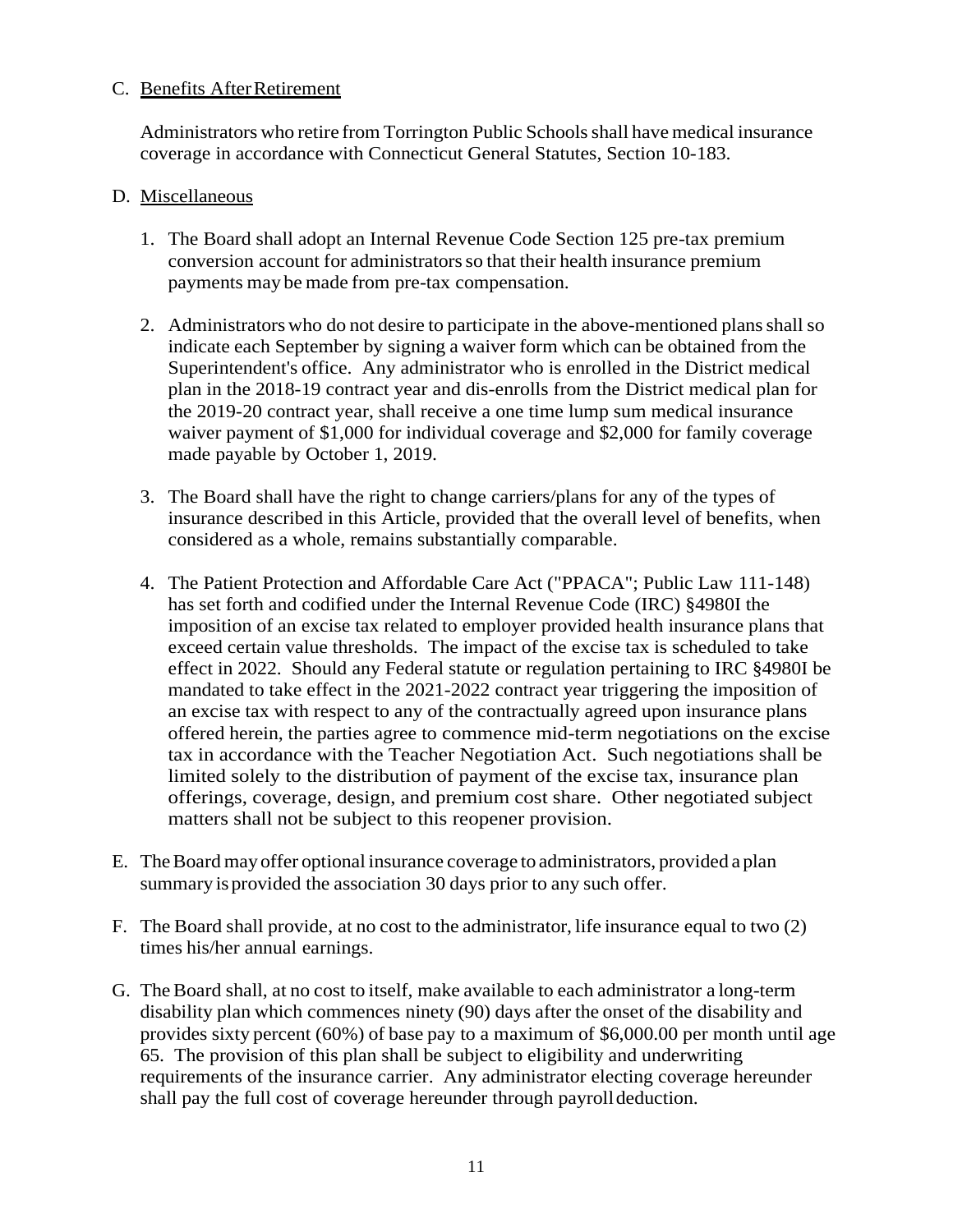#### C. Benefits AfterRetirement

Administrators who retire from Torrington Public Schoolsshall have medical insurance coverage in accordance with Connecticut General Statutes, Section 10-183.

#### D. Miscellaneous

- 1. The Board shall adopt an Internal Revenue Code Section 125 pre-tax premium conversion account for administrators so that their health insurance premium payments may be made from pre-tax compensation.
- 2. Administrators who do not desire to participate in the above-mentioned plans shall so indicate each September by signing a waiver form which can be obtained from the Superintendent's office. Any administrator who is enrolled in the District medical plan in the 2018-19 contract year and dis-enrolls from the District medical plan for the 2019-20 contract year, shall receive a one time lump sum medical insurance waiver payment of \$1,000 for individual coverage and \$2,000 for family coverage made payable by October 1, 2019.
- 3. The Board shall have the right to change carriers/plans for any of the types of insurance described in this Article, provided that the overall level of benefits, when considered as a whole, remains substantially comparable.
- 4. The Patient Protection and Affordable Care Act ("PPACA"; Public Law 111-148) has set forth and codified under the Internal Revenue Code (IRC) §4980I the imposition of an excise tax related to employer provided health insurance plans that exceed certain value thresholds. The impact of the excise tax is scheduled to take effect in 2022. Should any Federal statute or regulation pertaining to IRC §4980I be mandated to take effect in the 2021-2022 contract year triggering the imposition of an excise tax with respect to any of the contractually agreed upon insurance plans offered herein, the parties agree to commence mid-term negotiations on the excise tax in accordance with the Teacher Negotiation Act. Such negotiations shall be limited solely to the distribution of payment of the excise tax, insurance plan offerings, coverage, design, and premium cost share. Other negotiated subject matters shall not be subject to this reopener provision.
- E. TheBoard may offer optional insurance coverage to administrators, provided a plan summary is provided the association 30 days prior to any such offer.
- F. The Board shall provide, at no cost to the administrator, life insurance equal to two (2) times his/her annual earnings.
- G. The Board shall, at no cost to itself, make available to each administrator a long-term disability plan which commences ninety (90) days after the onset of the disability and provides sixty percent (60%) of base pay to a maximum of \$6,000.00 per month until age 65. The provision of this plan shall be subject to eligibility and underwriting requirements of the insurance carrier. Any administrator electing coverage hereunder shall pay the full cost of coverage hereunder through payroll deduction.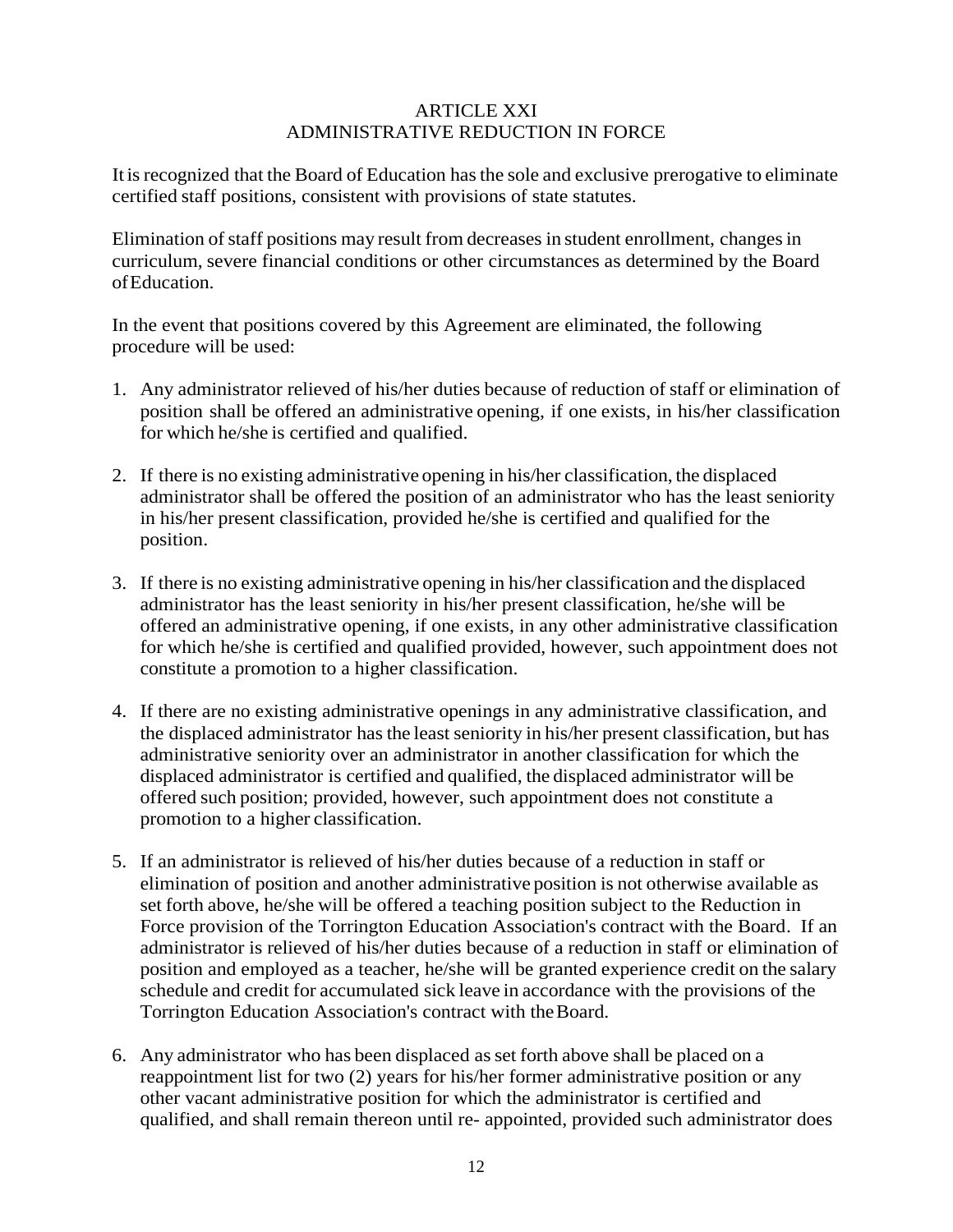## ARTICLE XXI ADMINISTRATIVE REDUCTION IN FORCE

It is recognized that the Board of Education has the sole and exclusive prerogative to eliminate certified staff positions, consistent with provisions of state statutes.

Elimination of staff positions may result from decreases in student enrollment, changes in curriculum, severe financial conditions or other circumstances as determined by the Board ofEducation.

In the event that positions covered by this Agreement are eliminated, the following procedure will be used:

- 1. Any administrator relieved of his/her duties because of reduction of staff or elimination of position shall be offered an administrative opening, if one exists, in his/her classification for which he/she is certified and qualified.
- 2. If there is no existing administrative opening in his/her classification, the displaced administrator shall be offered the position of an administrator who has the least seniority in his/her present classification, provided he/she is certified and qualified for the position.
- 3. If there is no existing administrative opening in his/her classification and the displaced administrator has the least seniority in his/her present classification, he/she will be offered an administrative opening, if one exists, in any other administrative classification for which he/she is certified and qualified provided, however, such appointment does not constitute a promotion to a higher classification.
- 4. If there are no existing administrative openings in any administrative classification, and the displaced administrator has the least seniority in his/her present classification, but has administrative seniority over an administrator in another classification for which the displaced administrator is certified and qualified, the displaced administrator will be offered such position; provided, however, such appointment does not constitute a promotion to a higher classification.
- 5. If an administrator is relieved of his/her duties because of a reduction in staff or elimination of position and another administrative position is not otherwise available as set forth above, he/she will be offered a teaching position subject to the Reduction in Force provision of the Torrington Education Association's contract with the Board. If an administrator is relieved of his/her duties because of a reduction in staff or elimination of position and employed as a teacher, he/she will be granted experience credit on the salary schedule and credit for accumulated sick leave in accordance with the provisions of the Torrington Education Association's contract with theBoard.
- 6. Any administrator who has been displaced asset forth above shall be placed on a reappointment list for two (2) years for his/her former administrative position or any other vacant administrative position for which the administrator is certified and qualified, and shall remain thereon until re- appointed, provided such administrator does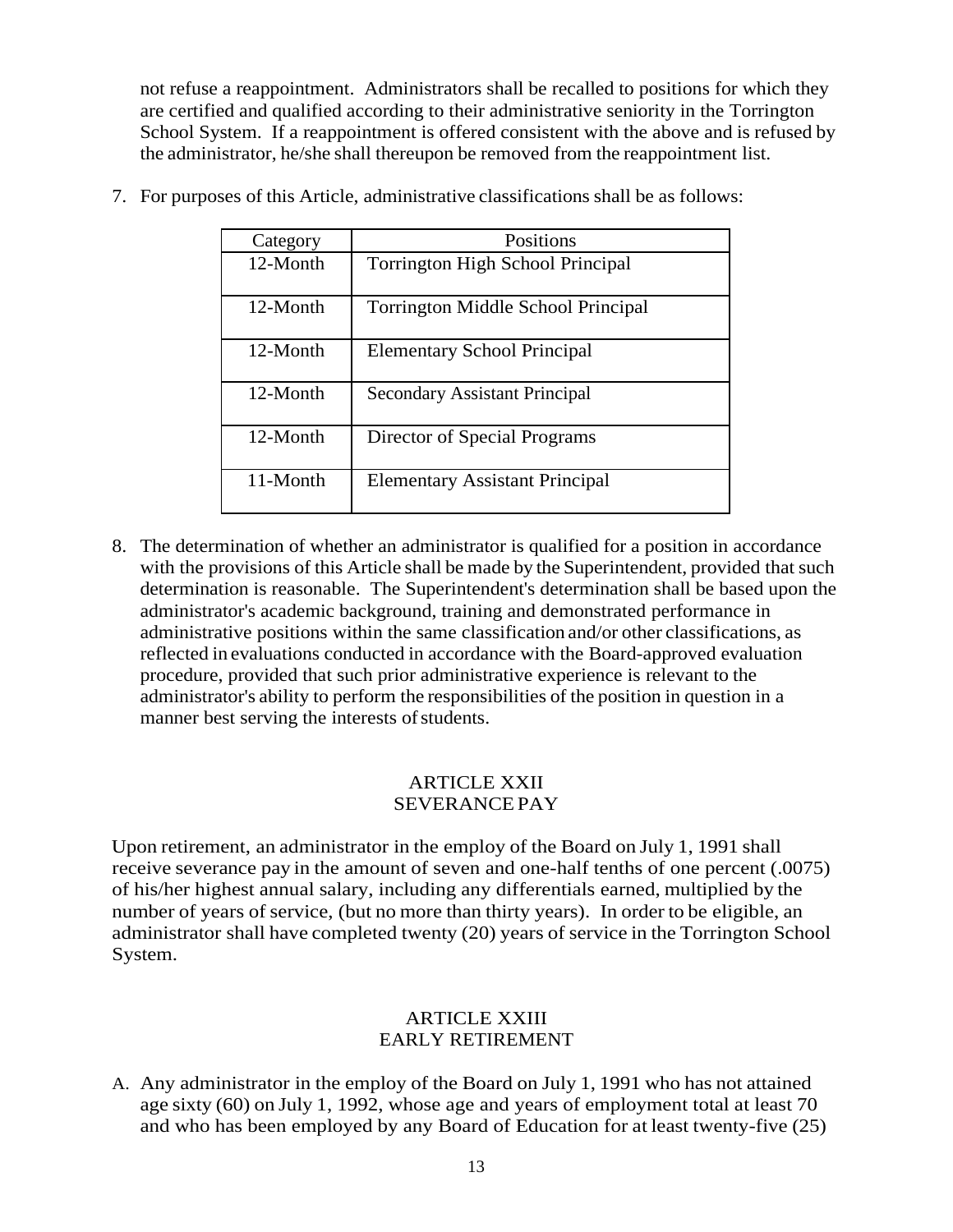not refuse a reappointment. Administrators shall be recalled to positions for which they are certified and qualified according to their administrative seniority in the Torrington School System. If a reappointment is offered consistent with the above and is refused by the administrator, he/she shall thereupon be removed from the reappointment list.

| Category | Positions                                 |
|----------|-------------------------------------------|
| 12-Month | <b>Torrington High School Principal</b>   |
| 12-Month | <b>Torrington Middle School Principal</b> |
| 12-Month | <b>Elementary School Principal</b>        |
| 12-Month | <b>Secondary Assistant Principal</b>      |
| 12-Month | Director of Special Programs              |
| 11-Month | <b>Elementary Assistant Principal</b>     |

7. For purposes of this Article, administrative classifications shall be as follows:

8. The determination of whether an administrator is qualified for a position in accordance with the provisions of this Article shall be made by the Superintendent, provided that such determination is reasonable. The Superintendent's determination shall be based upon the administrator's academic background, training and demonstrated performance in administrative positions within the same classification and/or other classifications, as reflected in evaluations conducted in accordance with the Board-approved evaluation procedure, provided that such prior administrative experience is relevant to the administrator's ability to perform the responsibilities of the position in question in a manner best serving the interests of students.

#### ARTICLE XXII SEVERANCEPAY

Upon retirement, an administrator in the employ of the Board on July 1, 1991 shall receive severance pay in the amount of seven and one-half tenths of one percent (.0075) of his/her highest annual salary, including any differentials earned, multiplied by the number of years of service, (but no more than thirty years). In order to be eligible, an administrator shall have completed twenty (20) years of service in the Torrington School System.

## ARTICLE XXIII EARLY RETIREMENT

A. Any administrator in the employ of the Board on July 1, 1991 who has not attained age sixty (60) on July 1, 1992, whose age and years of employment total at least 70 and who has been employed by any Board of Education for at least twenty-five (25)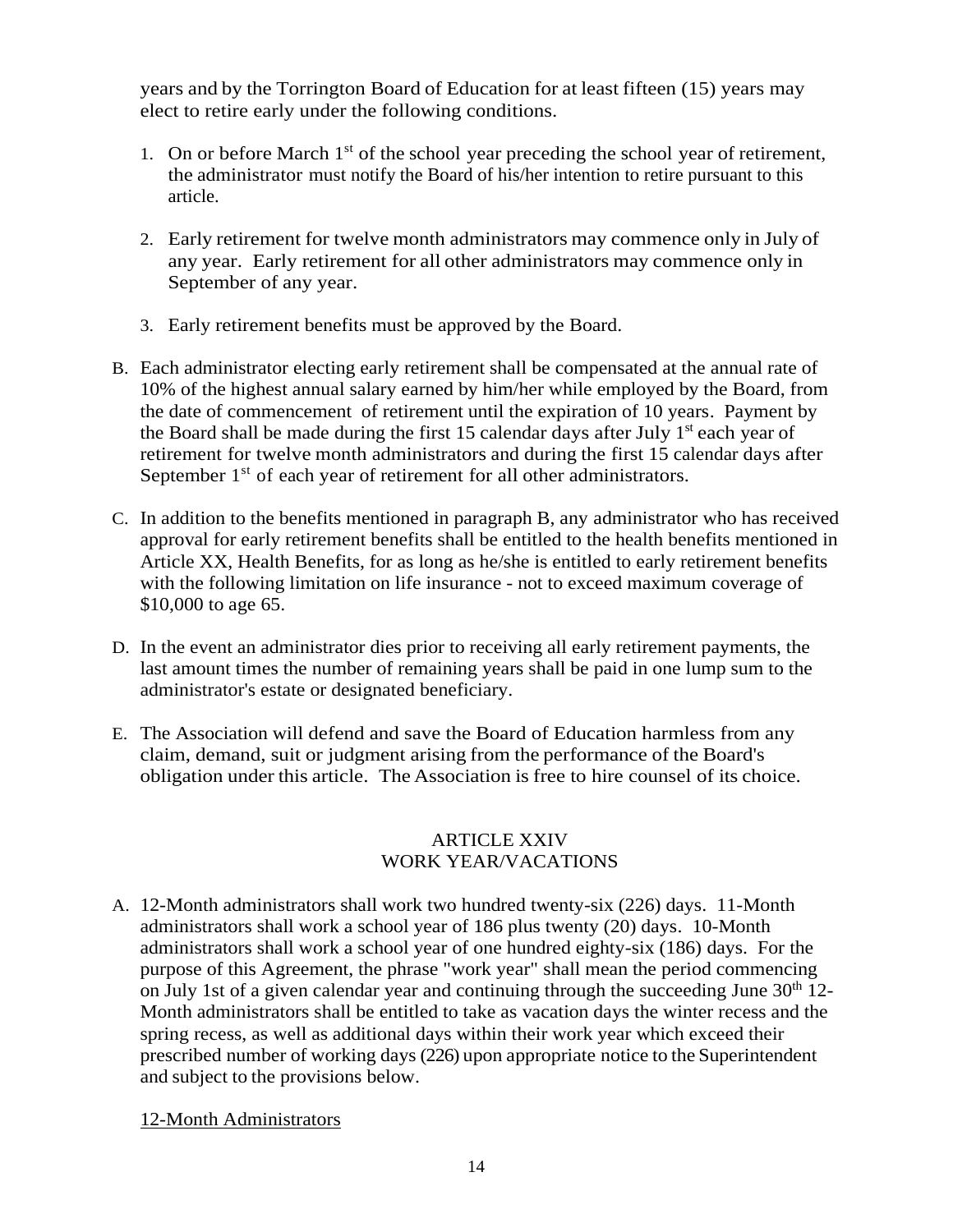years and by the Torrington Board of Education for at least fifteen (15) years may elect to retire early under the following conditions.

- 1. On or before March  $1<sup>st</sup>$  of the school year preceding the school year of retirement, the administrator must notify the Board of his/her intention to retire pursuant to this article.
- 2. Early retirement for twelve month administrators may commence only in July of any year. Early retirement for all other administrators may commence only in September of any year.
- 3. Early retirement benefits must be approved by the Board.
- B. Each administrator electing early retirement shall be compensated at the annual rate of 10% of the highest annual salary earned by him/her while employed by the Board, from the date of commencement of retirement until the expiration of 10 years. Payment by the Board shall be made during the first 15 calendar days after July 1<sup>st</sup> each year of retirement for twelve month administrators and during the first 15 calendar days after September 1<sup>st</sup> of each year of retirement for all other administrators.
- C. In addition to the benefits mentioned in paragraph B, any administrator who has received approval for early retirement benefits shall be entitled to the health benefits mentioned in Article XX, Health Benefits, for as long as he/she is entitled to early retirement benefits with the following limitation on life insurance - not to exceed maximum coverage of \$10,000 to age 65.
- D. In the event an administrator dies prior to receiving all early retirement payments, the last amount times the number of remaining years shall be paid in one lump sum to the administrator's estate or designated beneficiary.
- E. The Association will defend and save the Board of Education harmless from any claim, demand, suit or judgment arising from the performance of the Board's obligation under this article. The Association is free to hire counsel of its choice.

## ARTICLE XXIV WORK YEAR/VACATIONS

A. 12-Month administrators shall work two hundred twenty-six (226) days. 11-Month administrators shall work a school year of 186 plus twenty (20) days. 10-Month administrators shall work a school year of one hundred eighty-six (186) days. For the purpose of this Agreement, the phrase "work year" shall mean the period commencing on July 1st of a given calendar year and continuing through the succeeding June  $30<sup>th</sup> 12$ -Month administrators shall be entitled to take as vacation days the winter recess and the spring recess, as well as additional days within their work year which exceed their prescribed number of working days (226) upon appropriate notice to the Superintendent and subject to the provisions below.

12-Month Administrators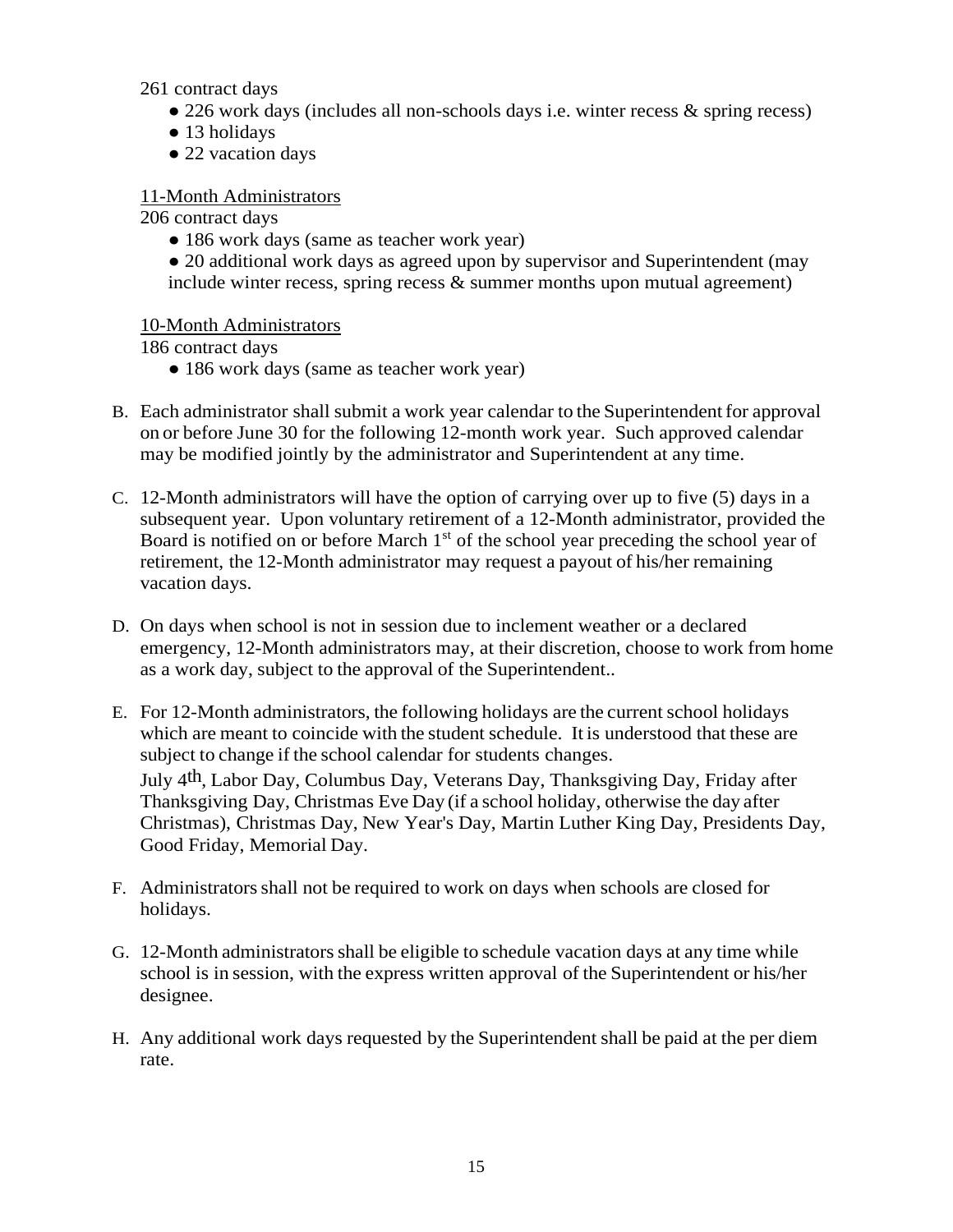261 contract days

- 226 work days (includes all non-schools days i.e. winter recess & spring recess)
- 13 holidays
- 22 vacation days

## 11-Month Administrators

206 contract days

- 186 work days (same as teacher work year)
- 20 additional work days as agreed upon by supervisor and Superintendent (may include winter recess, spring recess  $\&$  summer months upon mutual agreement)

#### 10-Month Administrators

186 contract days

- 186 work days (same as teacher work year)
- B. Each administrator shall submit a work year calendar to the Superintendent for approval on or before June 30 for the following 12-month work year. Such approved calendar may be modified jointly by the administrator and Superintendent at any time.
- C. 12-Month administrators will have the option of carrying over up to five (5) days in a subsequent year. Upon voluntary retirement of a 12-Month administrator, provided the Board is notified on or before March 1<sup>st</sup> of the school year preceding the school year of retirement, the 12-Month administrator may request a payout of his/her remaining vacation days.
- D. On days when school is not in session due to inclement weather or a declared emergency, 12-Month administrators may, at their discretion, choose to work from home as a work day, subject to the approval of the Superintendent..
- E. For 12-Month administrators, the following holidays are the current school holidays which are meant to coincide with the student schedule. It is understood that these are subject to change if the school calendar for students changes. July 4th, Labor Day, Columbus Day, Veterans Day, Thanksgiving Day, Friday after Thanksgiving Day, Christmas Eve Day (if a school holiday, otherwise the day after Christmas), Christmas Day, New Year's Day, Martin Luther King Day, Presidents Day,

Good Friday, Memorial Day.

- F. Administratorsshall not be required to work on days when schools are closed for holidays.
- G. 12-Month administratorsshall be eligible to schedule vacation days at any time while school is in session, with the express written approval of the Superintendent or his/her designee.
- H. Any additional work days requested by the Superintendent shall be paid at the per diem rate.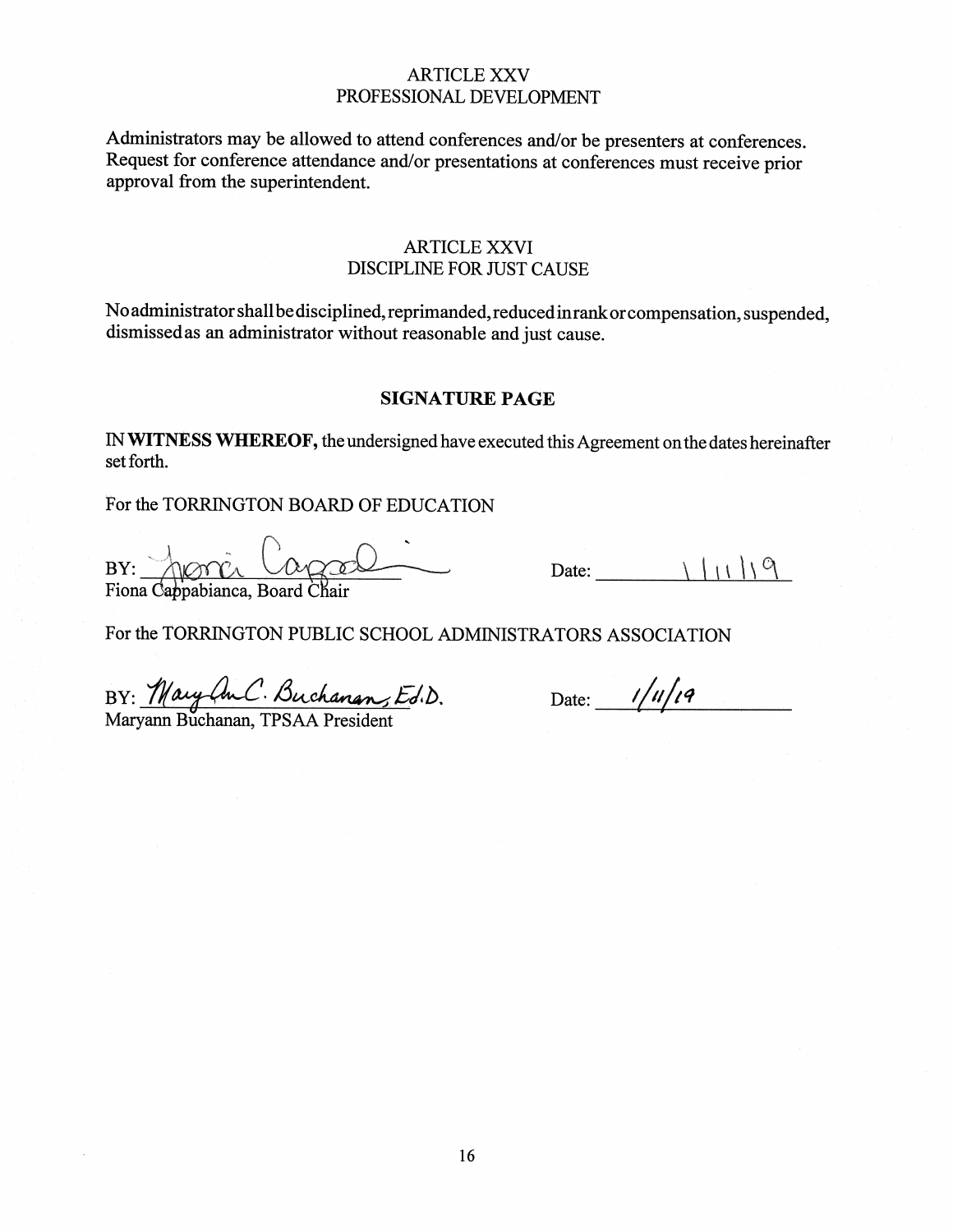#### **ARTICLE XXV** PROFESSIONAL DEVELOPMENT

Administrators may be allowed to attend conferences and/or be presenters at conferences. Request for conference attendance and/or presentations at conferences must receive prior approval from the superintendent.

#### **ARTICLE XXVI DISCIPLINE FOR JUST CAUSE**

No administrator shall be disciplined, reprimanded, reduced in rank or compensation, suspended, dismissed as an administrator without reasonable and just cause.

#### **SIGNATURE PAGE**

IN WITNESS WHEREOF, the undersigned have executed this Agreement on the dates hereinafter set forth.

For the TORRINGTON BOARD OF EDUCATION

BY: Fiona Cappabianca, Board Chair

Date:  $\sqrt{\left(1\right)\right.9}$ 

For the TORRINGTON PUBLIC SCHOOL ADMINISTRATORS ASSOCIATION

BY: Mary An.C. Buchanan, Ed.D.<br>Maryann Buchanan, TPSAA President

Date:  $1/u/vq$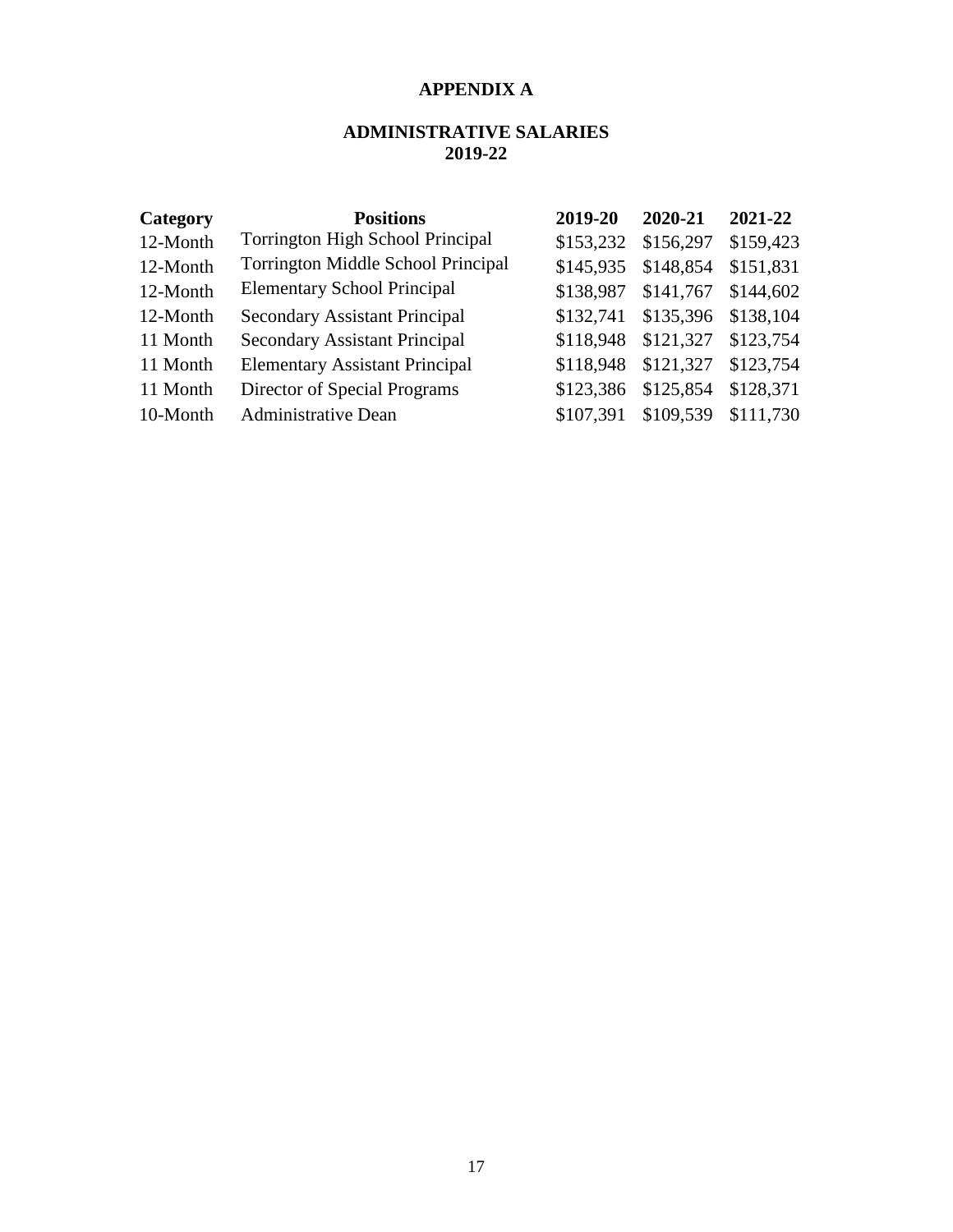## **APPENDIX A**

## **ADMINISTRATIVE SALARIES 2019-22**

| Category | <b>Positions</b>                        | 2019-20   | 2020-21   | 2021-22   |
|----------|-----------------------------------------|-----------|-----------|-----------|
| 12-Month | <b>Torrington High School Principal</b> | \$153,232 | \$156,297 | \$159,423 |
| 12-Month | Torrington Middle School Principal      | \$145,935 | \$148,854 | \$151,831 |
| 12-Month | <b>Elementary School Principal</b>      | \$138,987 | \$141,767 | \$144,602 |
| 12-Month | <b>Secondary Assistant Principal</b>    | \$132,741 | \$135,396 | \$138,104 |
| 11 Month | <b>Secondary Assistant Principal</b>    | \$118,948 | \$121,327 | \$123,754 |
| 11 Month | <b>Elementary Assistant Principal</b>   | \$118,948 | \$121,327 | \$123,754 |
| 11 Month | Director of Special Programs            | \$123,386 | \$125,854 | \$128,371 |
| 10-Month | <b>Administrative Dean</b>              | \$107,391 | \$109,539 | \$111,730 |